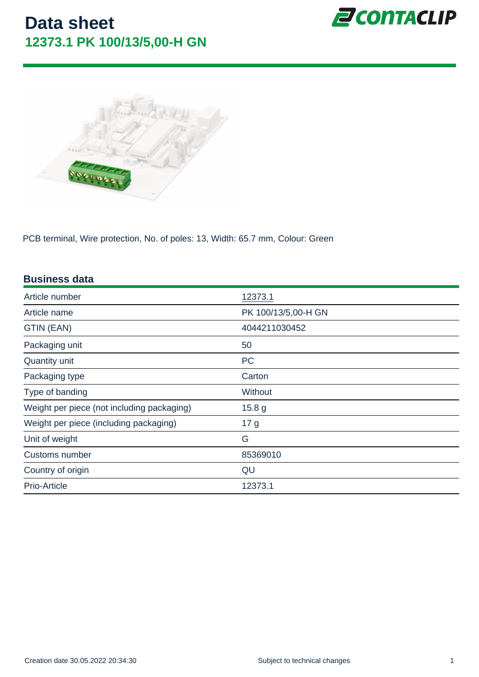PCB terminal, Wire protection, No. of poles: 13, Width: 65.7 mm, Colour: Green

| <b>Business data</b>                       |                     |
|--------------------------------------------|---------------------|
| Article number                             | 12373.1             |
| Article name                               | PK 100/13/5,00-H GN |
| GTIN (EAN)                                 | 4044211030452       |
| Packaging unit                             | 50                  |
| Quantity unit                              | <b>PC</b>           |
| Packaging type                             | Carton              |
| Type of banding                            | <b>Without</b>      |
| Weight per piece (not including packaging) | 15.8 <sub>g</sub>   |
| Weight per piece (including packaging)     | 17 <sub>g</sub>     |
| Unit of weight                             | G                   |
| Customs number                             | 85369010            |
| Country of origin                          | QU                  |
| Prio-Article                               | 12373.1             |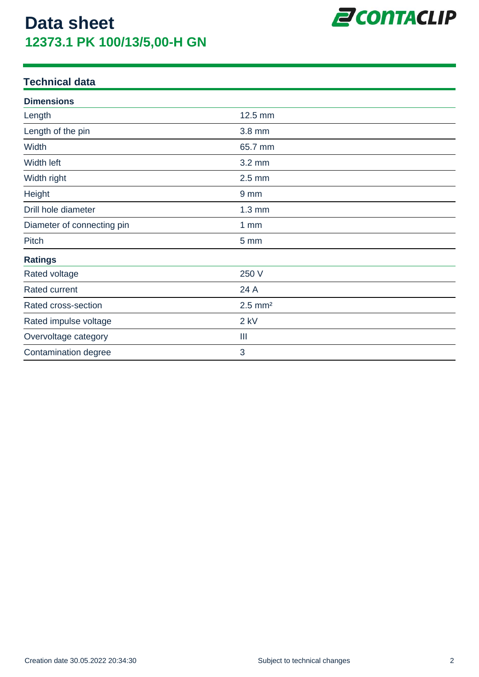

#### **Technical data**

| <b>Dimensions</b>          |                       |  |
|----------------------------|-----------------------|--|
| Length                     | 12.5 mm               |  |
| Length of the pin          | 3.8 mm                |  |
| Width                      | 65.7 mm               |  |
| Width left                 | 3.2 mm                |  |
| Width right                | $2.5$ mm              |  |
| Height                     | 9 <sub>mm</sub>       |  |
| Drill hole diameter        | $1.3 \text{ mm}$      |  |
| Diameter of connecting pin | $1 \, \text{mm}$      |  |
| Pitch                      | 5 mm                  |  |
| <b>Ratings</b>             |                       |  |
| Rated voltage              | 250 V                 |  |
| Rated current              | 24 A                  |  |
| Rated cross-section        | $2.5$ mm <sup>2</sup> |  |
| Rated impulse voltage      | $2$ kV                |  |
| Overvoltage category       | Ш                     |  |
| Contamination degree       | 3                     |  |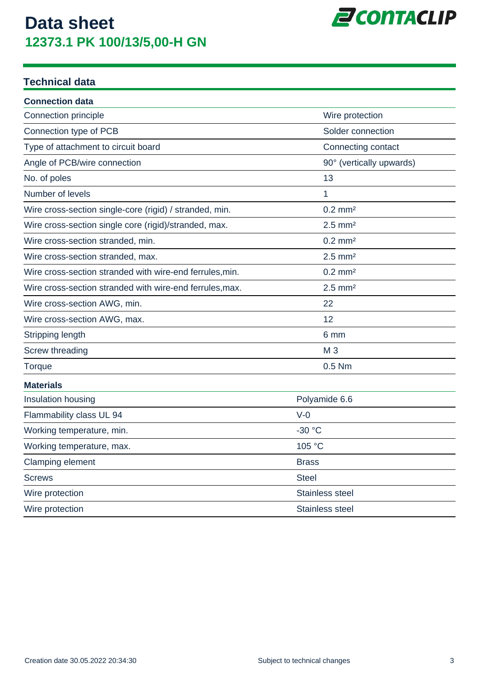

#### **Technical data**

| <b>Connection data</b>                                   |                          |  |
|----------------------------------------------------------|--------------------------|--|
| Connection principle                                     | Wire protection          |  |
| Connection type of PCB                                   | Solder connection        |  |
| Type of attachment to circuit board                      | Connecting contact       |  |
| Angle of PCB/wire connection                             | 90° (vertically upwards) |  |
| No. of poles                                             | 13                       |  |
| Number of levels                                         | 1                        |  |
| Wire cross-section single-core (rigid) / stranded, min.  | $0.2$ mm <sup>2</sup>    |  |
| Wire cross-section single core (rigid)/stranded, max.    | $2.5$ mm <sup>2</sup>    |  |
| Wire cross-section stranded, min.                        | $0.2$ mm <sup>2</sup>    |  |
| Wire cross-section stranded, max.                        | $2.5$ mm <sup>2</sup>    |  |
| Wire cross-section stranded with wire-end ferrules, min. | $0.2$ mm <sup>2</sup>    |  |
| Wire cross-section stranded with wire-end ferrules, max. | $2.5$ mm <sup>2</sup>    |  |
| Wire cross-section AWG, min.                             | 22                       |  |
| Wire cross-section AWG, max.                             | 12                       |  |
| Stripping length                                         | 6 mm                     |  |
| Screw threading                                          | M <sub>3</sub>           |  |
| Torque                                                   | 0.5 Nm                   |  |
| <b>Materials</b>                                         |                          |  |
| Insulation housing                                       | Polyamide 6.6            |  |
| Flammability class UL 94                                 | $V-0$                    |  |
| Working temperature, min.                                | $-30 °C$                 |  |
| Working temperature, max.                                | 105 °C                   |  |
| Clamping element                                         | <b>Brass</b>             |  |
| <b>Screws</b>                                            | <b>Steel</b>             |  |
| Wire protection                                          | Stainless steel          |  |
| Wire protection                                          | <b>Stainless steel</b>   |  |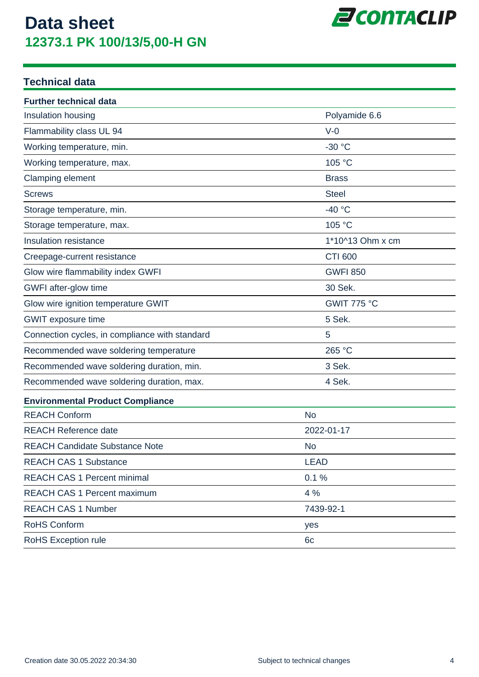

#### **Technical data**

| <b>Further technical data</b>                  |                  |  |
|------------------------------------------------|------------------|--|
| Insulation housing                             | Polyamide 6.6    |  |
| Flammability class UL 94                       | $V-0$            |  |
| Working temperature, min.                      | $-30 °C$         |  |
| Working temperature, max.                      | 105 °C           |  |
| Clamping element                               | <b>Brass</b>     |  |
| <b>Screws</b>                                  | <b>Steel</b>     |  |
| Storage temperature, min.                      | $-40 °C$         |  |
| Storage temperature, max.                      | 105 °C           |  |
| Insulation resistance                          | 1*10^13 Ohm x cm |  |
| Creepage-current resistance                    | <b>CTI 600</b>   |  |
| Glow wire flammability index GWFI              | <b>GWFI 850</b>  |  |
| GWFI after-glow time                           | 30 Sek.          |  |
| Glow wire ignition temperature GWIT            | GWIT 775 °C      |  |
| <b>GWIT</b> exposure time                      | 5 Sek.           |  |
| Connection cycles, in compliance with standard | 5                |  |
| Recommended wave soldering temperature         | 265 °C           |  |
| Recommended wave soldering duration, min.      | 3 Sek.           |  |
| Recommended wave soldering duration, max.      | 4 Sek.           |  |
| <b>Environmental Product Compliance</b>        |                  |  |
| <b>REACH Conform</b>                           | <b>No</b>        |  |
| <b>REACH Reference date</b>                    | 2022-01-17       |  |
| <b>REACH Candidate Substance Note</b>          | <b>No</b>        |  |
| <b>REACH CAS 1 Substance</b>                   | <b>LEAD</b>      |  |
| <b>REACH CAS 1 Percent minimal</b>             | 0.1%             |  |
| <b>REACH CAS 1 Percent maximum</b>             | 4 %              |  |
| <b>REACH CAS 1 Number</b>                      | 7439-92-1        |  |
| <b>RoHS Conform</b>                            | yes              |  |
| RoHS Exception rule                            | 6c               |  |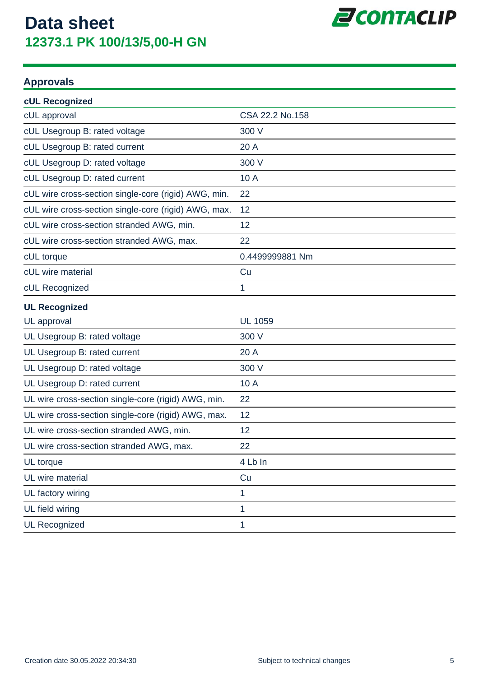

#### **Approvals**

| <b>cUL Recognized</b>                                |                 |
|------------------------------------------------------|-----------------|
| cUL approval                                         | CSA 22.2 No.158 |
| cUL Usegroup B: rated voltage                        | 300 V           |
| cUL Usegroup B: rated current                        | 20 A            |
| cUL Usegroup D: rated voltage                        | 300 V           |
| cUL Usegroup D: rated current                        | 10 A            |
| cUL wire cross-section single-core (rigid) AWG, min. | 22              |
| cUL wire cross-section single-core (rigid) AWG, max. | 12              |
| cUL wire cross-section stranded AWG, min.            | 12              |
| cUL wire cross-section stranded AWG, max.            | 22              |
| cUL torque                                           | 0.4499999881 Nm |
| cUL wire material                                    | Cu              |
| cUL Recognized                                       | 1               |
| <b>UL Recognized</b>                                 |                 |
| UL approval                                          | <b>UL 1059</b>  |
| UL Usegroup B: rated voltage                         | 300 V           |
| UL Usegroup B: rated current                         | 20 A            |
| UL Usegroup D: rated voltage                         | 300 V           |
| UL Usegroup D: rated current                         | 10 A            |
| UL wire cross-section single-core (rigid) AWG, min.  | 22              |
| UL wire cross-section single-core (rigid) AWG, max.  | 12              |
| UL wire cross-section stranded AWG, min.             | 12              |
| UL wire cross-section stranded AWG, max.             | 22              |
| UL torque                                            | 4 Lb In         |
| UL wire material                                     | Cu              |
| UL factory wiring                                    | 1               |
| UL field wiring                                      | 1               |
| <b>UL Recognized</b>                                 | 1               |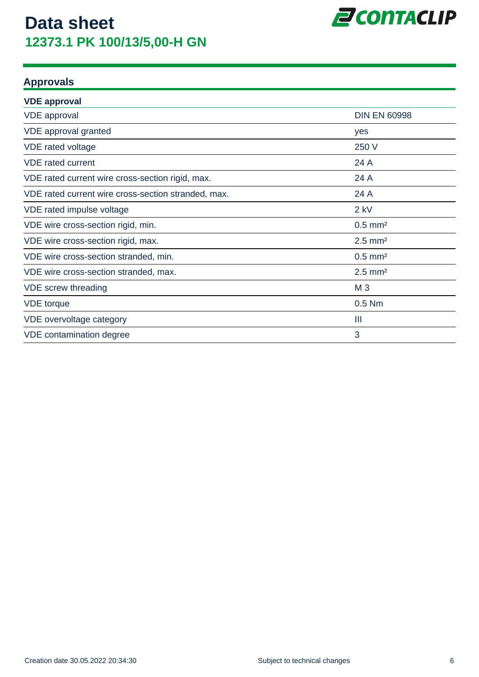

#### **Approvals**

| <b>VDE approval</b>                                 |                       |
|-----------------------------------------------------|-----------------------|
| <b>VDE</b> approval                                 | <b>DIN EN 60998</b>   |
| VDE approval granted                                | yes                   |
| VDE rated voltage                                   | 250 V                 |
| <b>VDE</b> rated current                            | 24 A                  |
| VDE rated current wire cross-section rigid, max.    | 24 A                  |
| VDE rated current wire cross-section stranded, max. | 24 A                  |
| VDE rated impulse voltage                           | $2$ kV                |
| VDE wire cross-section rigid, min.                  | $0.5$ mm <sup>2</sup> |
| VDE wire cross-section rigid, max.                  | $2.5$ mm <sup>2</sup> |
| VDE wire cross-section stranded, min.               | $0.5$ mm <sup>2</sup> |
| VDE wire cross-section stranded, max.               | $2.5$ mm <sup>2</sup> |
| VDE screw threading                                 | M <sub>3</sub>        |
| <b>VDE</b> torque                                   | $0.5$ Nm              |
| VDE overvoltage category                            | Ш                     |
| VDE contamination degree                            | 3                     |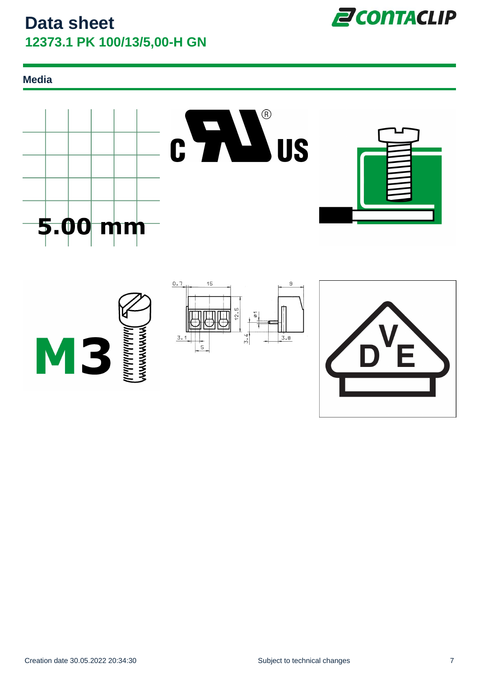**Media**





**Z**CONTACLIP